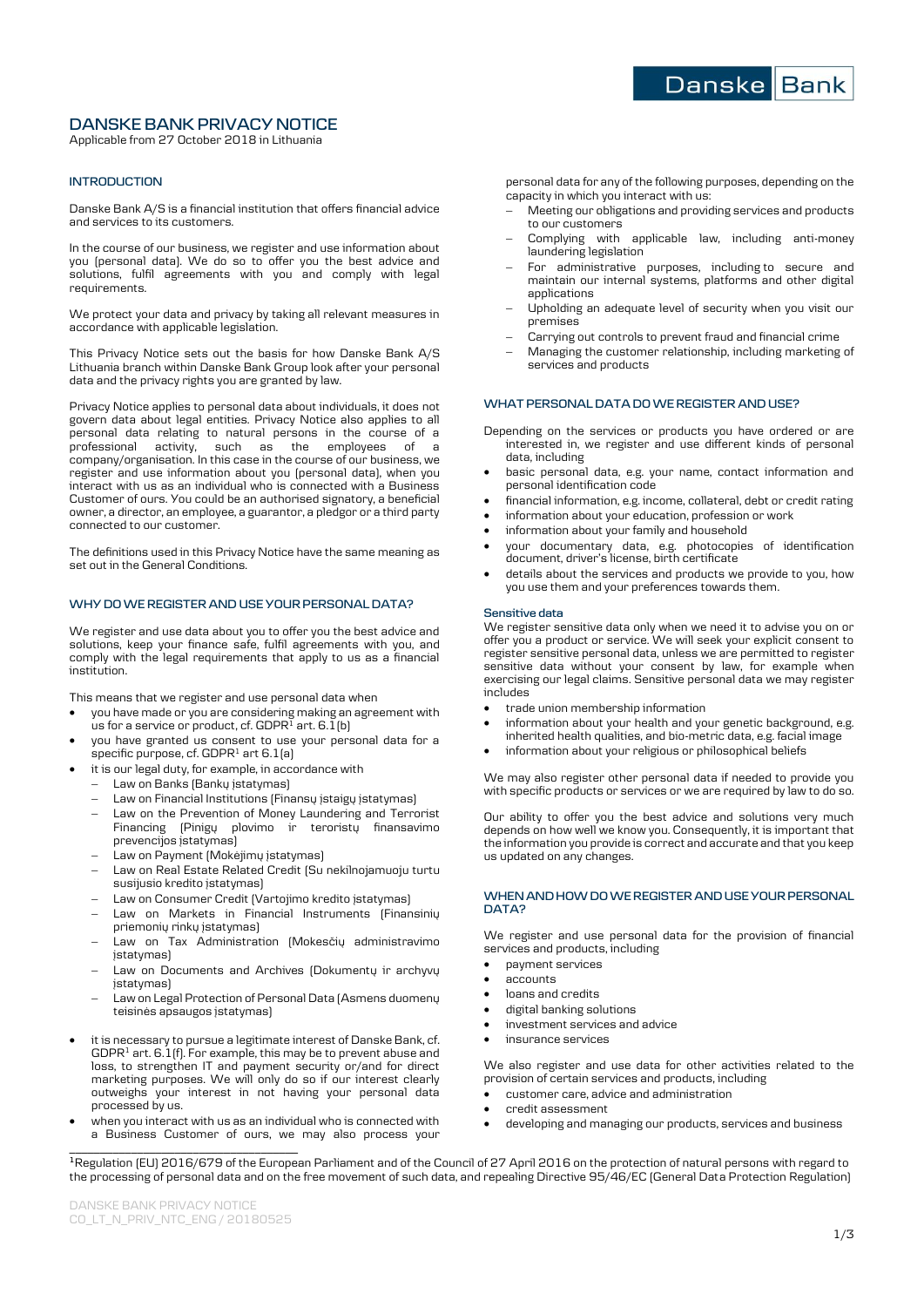# **DANSKE BANK PRIVACY NOTICE**

Applicable from 27 October 2018 in Lithuania

## **INTRODUCTION**

Danske Bank A/S is a financial institution that offers financial advice and services to its customers.

In the course of our business, we register and use information about you (personal data). We do so to offer you the best advice and solutions, fulfil agreements with you and comply with legal requirements.

We protect your data and privacy by taking all relevant measures in accordance with applicable legislation.

This Privacy Notice sets out the basis for how Danske Bank A/S Lithuania branch within Danske Bank Group look after your personal data and the privacy rights you are granted by law.

Privacy Notice applies to personal data about individuals, it does not govern data about legal entities. Privacy Notice also applies to all personal data relating to natural persons in the course of a professional activity, such as the employees of a company/organisation. In this case in the course of our business, we register and use information about you (personal data), when you interact with us as an individual who is connected with a Business Customer of ours. You could be an authorised signatory, a beneficial owner, a director, an employee, a guarantor, a pledgor or a third party connected to our customer.

The definitions used in this Privacy Notice have the same meaning as set out in the General Conditions.

# **WHY DO WE REGISTER AND USE YOUR PERSONAL DATA?**

We register and use data about you to offer you the best advice and solutions, keep your finance safe, fulfil agreements with you, and comply with the legal requirements that apply to us as a financial institution.

This means that we register and use personal data when

- you have made or you are considering making an agreement with us for a service or product, cf. GDPR<sup>1</sup> art. 6.1(b)
- you have granted us consent to use your personal data for a specific purpose, cf. GDPR<sup>1</sup> art 6.1(a)
- it is our legal duty, for example, in accordance with
	- Law on Banks (Bankų įstatymas)
	- Law on Financial Institutions (Finansų įstaigų įstatymas)
	- Law on the Prevention of Money Laundering and Terrorist<br>Financing (Pinigu plovimo ir teroristu finansavimo Financing  $[Pinigy$  plovimo ir teroristų prevencijos įstatymas)
	- Law on Payment (Mokėjimų įstatymas)
	- Law on Real Estate Related Credit (Su nekilnojamuoju turtu susijusio kredito įstatymas)
	- Law on Consumer Credit (Vartojimo kredito įstatymas)
	- Law on Markets in Financial Instruments (Finansinių priemonių rinkų įstatymas)
	- Law on Tax Administration (Mokesčių administravimo *istatymas)*
	- Law on Documents and Archives (Dokumentų ir archyvų įstatymas)
	- Law on Legal Protection of Personal Data (Asmens duomenų teisinės apsaugos įstatymas)
- it is necessary to pursue a legitimate interest of Danske Bank, cf.  $GDPR<sup>1</sup>$  art. 6.1(f). For example, this may be to prevent abuse and loss, to strengthen IT and payment security or/and for direct marketing purposes. We will only do so if our interest clearly outweighs your interest in not having your personal data processed by us.
- **\_\_\_\_\_\_\_\_\_\_\_\_\_\_\_\_\_\_\_\_\_\_\_\_\_\_\_\_\_\_\_\_\_\_\_\_\_** when you interact with us as an individual who is connected with a Business Customer of ours, we may also process your

personal data for any of the following purposes, depending on the capacity in which you interact with us:

- Meeting our obligations and providing services and products to our customers
- Complying with applicable law, including anti-money laundering legislation
- For administrative purposes, including to secure and maintain our internal systems, platforms and other digital applications
- Upholding an adequate level of security when you visit our premises
- Carrying out controls to prevent fraud and financial crime
- Managing the customer relationship, including marketing of services and products

# **WHAT PERSONAL DATA DO WE REGISTER AND USE?**

- Depending on the services or products you have ordered or are interested in, we register and use different kinds of personal data, including
- basic personal data, e.g. your name, contact information and personal identification code
- financial information, e.g. income, collateral, debt or credit rating
- information about your education, profession or work
- information about your family and household
- your documentary data, e.g. photocopies of identification document, driver's license, birth certificate
- details about the services and products we provide to you, how you use them and your preferences towards them.

#### **Sensitive data**

We register sensitive data only when we need it to advise you on or offer you a product or service. We will seek your explicit consent to register sensitive personal data, unless we are permitted to register sensitive data without your consent by law, for example when exercising our legal claims. Sensitive personal data we may register includes

- trade union membership information
- information about your health and your genetic background, e.g. inherited health qualities, and bio-metric data, e.g. facial image
- information about your religious or philosophical beliefs

We may also register other personal data if needed to provide you with specific products or services or we are required by law to do so.

Our ability to offer you the best advice and solutions very much depends on how well we know you. Consequently, it is important that the information you provide is correct and accurate and that you keep us updated on any changes.

### **WHEN AND HOW DO WE REGISTER AND USE YOURPERSONAL DATA?**

We register and use personal data for the provision of financial services and products, including

- payment services
- accounts
- loans and credits
- digital banking solutions
- investment services and advice
- insurance services

We also register and use data for other activities related to the provision of certain services and products, including

- customer care, advice and administration
- credit assessment
- developing and managing our products, services and business

**<sup>1</sup>**Regulation (EU) 2016/679 of the European Parliament and of the Council of 27 April 2016 on the protection of natural persons with regard to the processing of personal data and on the free movement of such data, and repealing Directive 95/46/EC (General Data Protection Regulation)

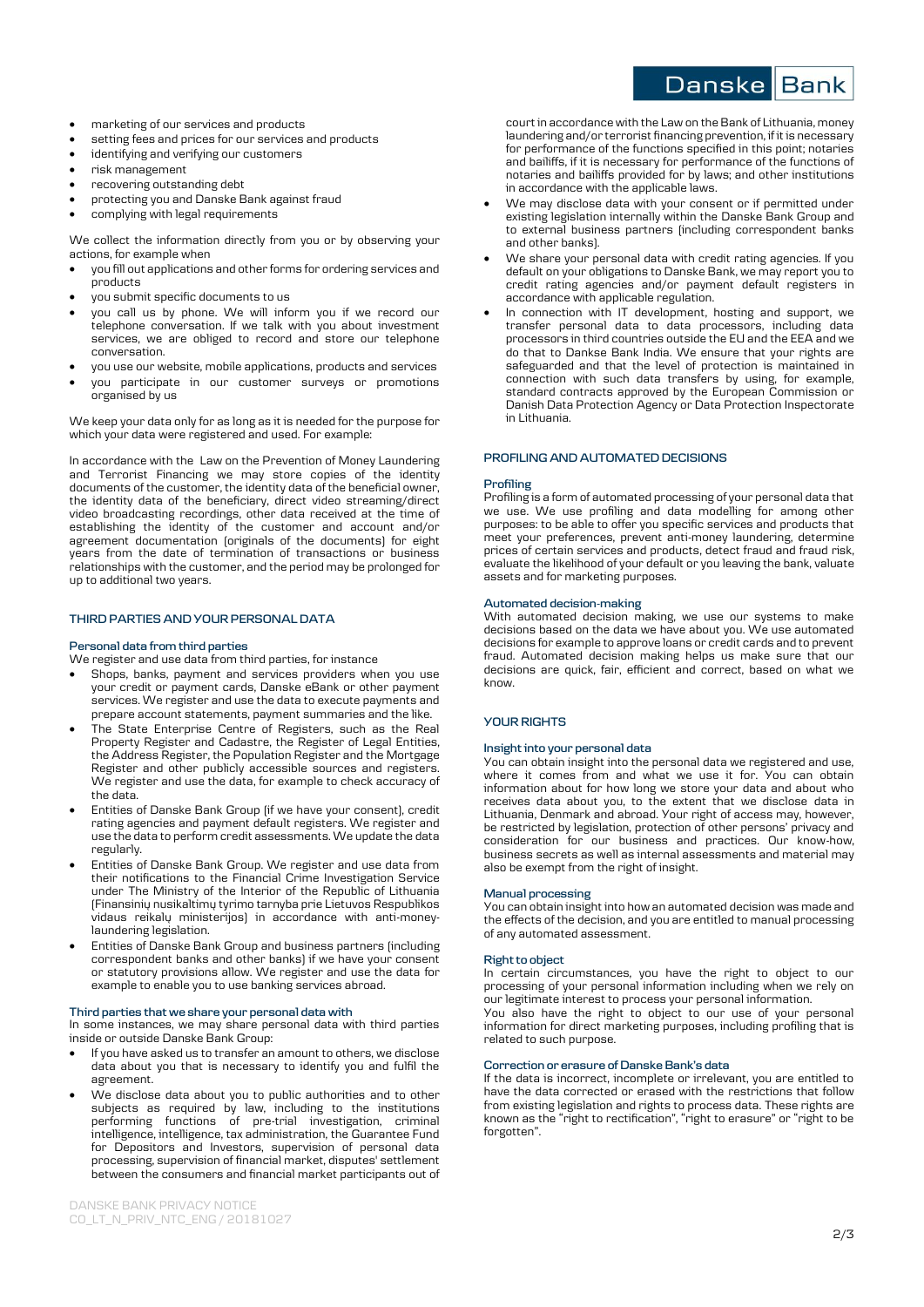- marketing of our services and products
- setting fees and prices for our services and products
- identifying and verifying our customers
- risk management
- recovering outstanding debt
- protecting you and Danske Bank against fraud
- complying with legal requirements

We collect the information directly from you or by observing your actions, for example when

- you fill out applications and other forms for ordering services and products
- you submit specific documents to us
- you call us by phone. We will inform you if we record our telephone conversation. If we talk with you about investment services, we are obliged to record and store our telephone conversation.
- you use our website, mobile applications, products and services
- you participate in our customer surveys or promotions organised by us

We keep your data only for as long as it is needed for the purpose for which your data were registered and used. For example:

In accordance with the [Law on the Prevention of Money Laundering](https://e-seimas.lrs.lt/portal/legalAct/lt/TAD/26a9f270fb6511e796a2c6c63add27e9?jfwid=-fa58hb6bk)  [and Terrorist Financing](https://e-seimas.lrs.lt/portal/legalAct/lt/TAD/26a9f270fb6511e796a2c6c63add27e9?jfwid=-fa58hb6bk) we may store copies of the identity documents of the customer, the identity data of the beneficial owner, the identity data of the beneficiary, direct video streaming/direct video broadcasting recordings, other data received at the time of establishing the identity of the customer and account and/or agreement documentation (originals of the documents) for eight years from the date of termination of transactions or business relationships with the customer, and the period may be prolonged for up to additional two years.

# **THIRD PARTIES AND YOUR PERSONAL DATA**

### **Personal data from third parties**

We register and use data from third parties, for instance

- Shops, banks, payment and services providers when you use your credit or payment cards, Danske eBank or other payment services. We register and use the data to execute payments and prepare account statements, payment summaries and the like.
- The State Enterprise Centre of Registers, such as the Real Property Register and Cadastre, the Register of Legal Entities, the Address Register, the Population Register and the Mortgage Register and other publicly accessible sources and registers. We register and use the data, for example to check accuracy of the data.
- Entities of Danske Bank Group (if we have your consent), credit rating agencies and payment default registers. We register and use the data to perform credit assessments. We update the data regularly.
- Entities of Danske Bank Group. We register and use data from their notifications to the Financial Crime Investigation Service under The Ministry of the Interior of the Republic of Lithuania (Finansinių nusikaltimų tyrimo tarnyba prie Lietuvos Respublikos vidaus reikalų ministerijos) in accordance with anti-moneylaundering legislation.
- Entities of Danske Bank Group and business partners (including correspondent banks and other banks) if we have your consent or statutory provisions allow. We register and use the data for example to enable you to use banking services abroad.

## **Third parties that we share your personal data with**

In some instances, we may share personal data with third parties inside or outside Danske Bank Group:

- If you have asked us to transfer an amount to others, we disclose data about you that is necessary to identify you and fulfil the agreement.
- We disclose data about you to public authorities and to other subjects as required by law, including to the institutions performing functions of pre-trial investigation, criminal intelligence, intelligence, tax administration, the Guarantee Fund for Depositors and Investors, supervision of personal data processing, supervision of financial market, disputes' settlement between the consumers and financial market participants out of

court in accordance with the Law on the Bank of Lithuania, money laundering and/or terrorist financing prevention, if it is necessary for performance of the functions specified in this point; notaries and bailiffs, if it is necessary for performance of the functions of notaries and bailiffs provided for by laws; and other institutions in accordance with the applicable laws.

- We may disclose data with your consent or if permitted under existing legislation internally within the Danske Bank Group and to external business partners (including correspondent banks and other banks).
- We share your personal data with credit rating agencies. If you default on your obligations to Danske Bank, we may report you to credit rating agencies and/or payment default registers in accordance with applicable regulation.
- In connection with IT development, hosting and support, we transfer personal data to data processors, including data processors in third countries outside the EU and the EEA and we do that to Dankse Bank India. We ensure that your rights are safeguarded and that the level of protection is maintained in connection with such data transfers by using, for example, standard contracts approved by the European Commission or Danish Data Protection Agency or Data Protection Inspectorate in Lithuania.

# **PROFILING AND AUTOMATED DECISIONS**

#### **Profiling**

Profiling is a form of automated processing of your personal data that we use. We use profiling and data modelling for among other purposes: to be able to offer you specific services and products that meet your preferences, prevent anti-money laundering, determine prices of certain services and products, detect fraud and fraud risk, evaluate the likelihood of your default or you leaving the bank, valuate assets and for marketing purposes.

## **Automated decision-making**

With automated decision making, we use our systems to make decisions based on the data we have about you. We use automated decisions for example to approve loans or credit cards and to prevent fraud. Automated decision making helps us make sure that our decisions are quick, fair, efficient and correct, based on what we know.

# **YOUR RIGHTS**

### **Insight into your personal data**

You can obtain insight into the personal data we registered and use, where it comes from and what we use it for. You can obtain information about for how long we store your data and about who receives data about you, to the extent that we disclose data in Lithuania, Denmark and abroad. Your right of access may, however, be restricted by legislation, protection of other persons' privacy and consideration for our business and practices. Our know-how, business secrets as well as internal assessments and material may also be exempt from the right of insight.

# **Manual processing**

You can obtain insight into how an automated decision was made and the effects of the decision, and you are entitled to manual processing of any automated assessment.

### **Right to object**

In certain circumstances, you have the right to object to our processing of your personal information including when we rely on our legitimate interest to process your personal information.

You also have the right to object to our use of your personal information for direct marketing purposes, including profiling that is related to such purpose.

# **Correction or erasure of Danske Bank's data**

If the data is incorrect, incomplete or irrelevant, you are entitled to have the data corrected or erased with the restrictions that follow from existing legislation and rights to process data. These rights are known as the "right to rectification", "right to erasure" or "right to be forgotten".